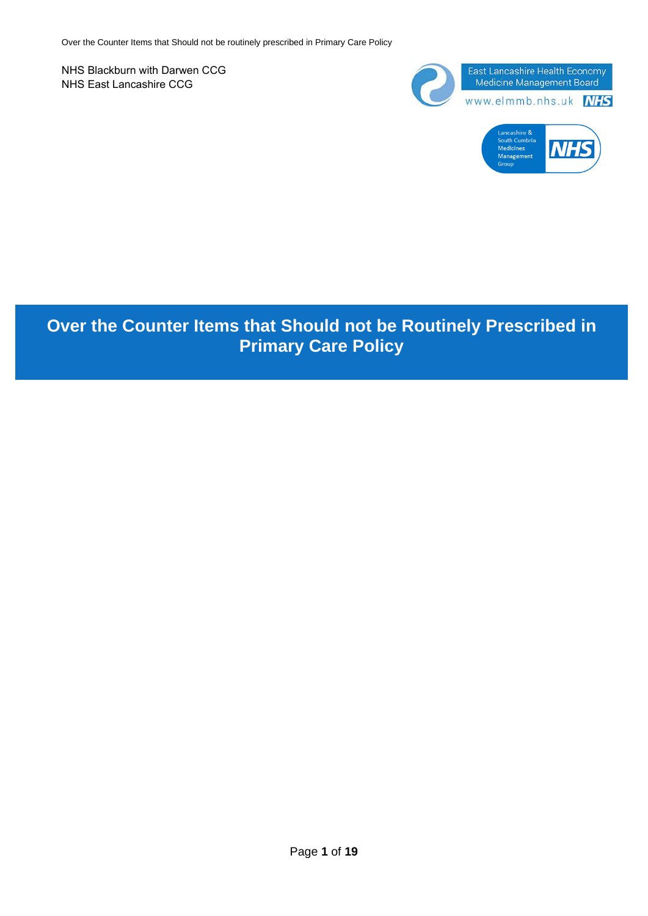NHS Blackburn with Darwen CCG NHS East Lancashire CCG



# **Over the Counter Items that Should not be Routinely Prescribed in Primary Care Policy**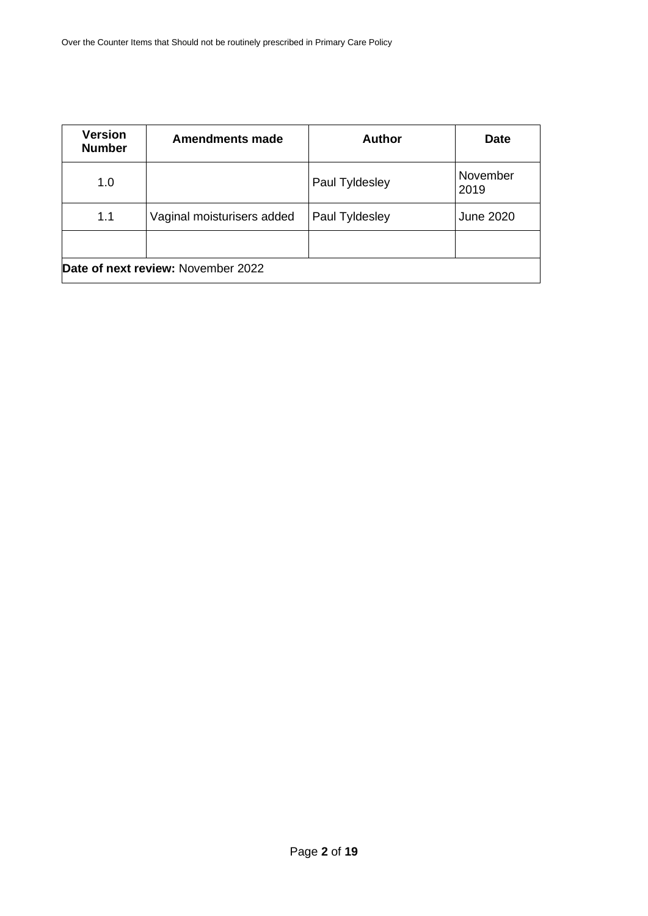| <b>Version</b><br><b>Number</b>    | <b>Amendments made</b>     | <b>Author</b>  | <b>Date</b>      |  |
|------------------------------------|----------------------------|----------------|------------------|--|
| 1.0                                |                            | Paul Tyldesley | November<br>2019 |  |
| 1.1                                | Vaginal moisturisers added | Paul Tyldesley | <b>June 2020</b> |  |
|                                    |                            |                |                  |  |
| Date of next review: November 2022 |                            |                |                  |  |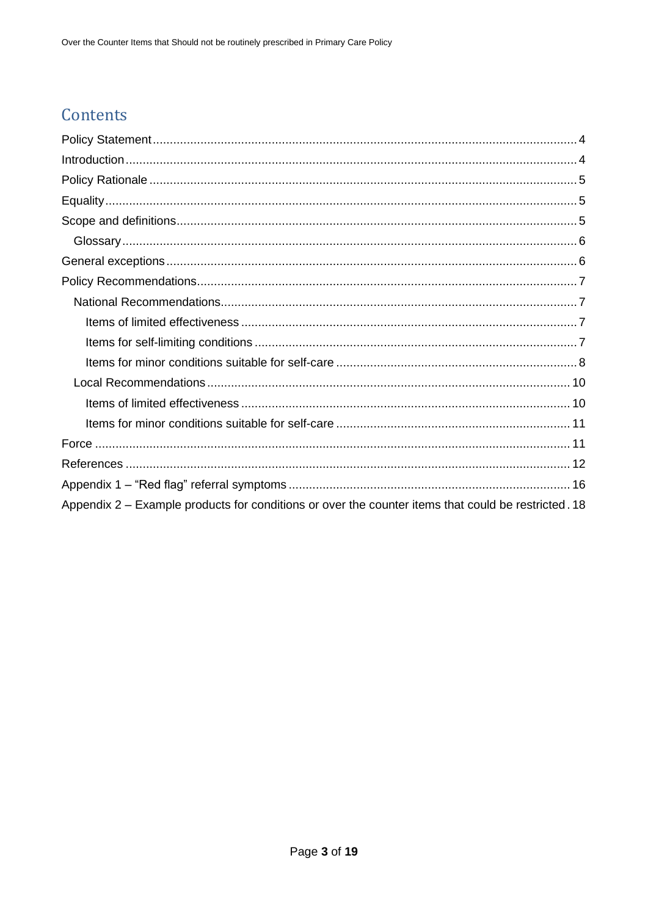# Contents

| Appendix 2 – Example products for conditions or over the counter items that could be restricted. 18 |
|-----------------------------------------------------------------------------------------------------|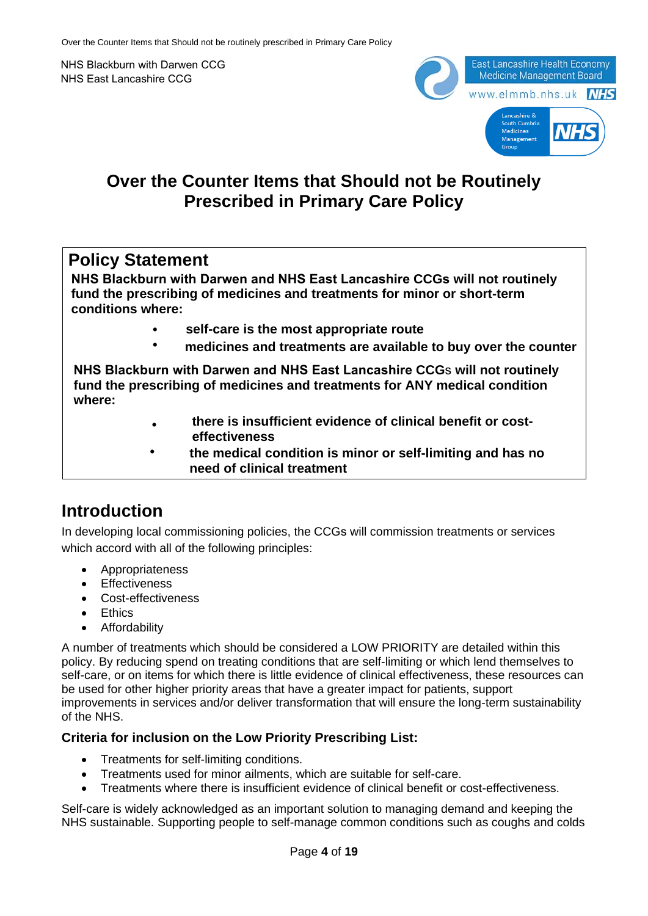NHS Blackburn with Darwen CCG NHS East Lancashire CCG



### **Over the Counter Items that Should not be Routinely Prescribed in Primary Care Policy**

### **Policy Statement**

**NHS Blackburn with Darwen and NHS East Lancashire CCGs will not routinely fund the prescribing of medicines and treatments for minor or short-term conditions where:** 

- **• self-care is the most appropriate route**
- **• medicines and treatments are available to buy over the counter**

**NHS Blackburn with Darwen and NHS East Lancashire CCG**s **will not routinely fund the prescribing of medicines and treatments for ANY medical condition where:** 

- **• there is insufficient evidence of clinical benefit or costeffectiveness**
- **• the medical condition is minor or self-limiting and has no need of clinical treatment**

### **Introduction**

In developing local commissioning policies, the CCGs will commission treatments or services which accord with all of the following principles:

- Appropriateness
- **Fffectiveness**
- Cost-effectiveness
- **Ethics**
- Affordability

A number of treatments which should be considered a LOW PRIORITY are detailed within this policy. By reducing spend on treating conditions that are self-limiting or which lend themselves to self-care, or on items for which there is little evidence of clinical effectiveness, these resources can be used for other higher priority areas that have a greater impact for patients, support improvements in services and/or deliver transformation that will ensure the long-term sustainability of the NHS.

#### **Criteria for inclusion on the Low Priority Prescribing List:**

- Treatments for self-limiting conditions.
- Treatments used for minor ailments, which are suitable for self-care.
- Treatments where there is insufficient evidence of clinical benefit or cost-effectiveness.

Self-care is widely acknowledged as an important solution to managing demand and keeping the NHS sustainable. Supporting people to self-manage common conditions such as coughs and colds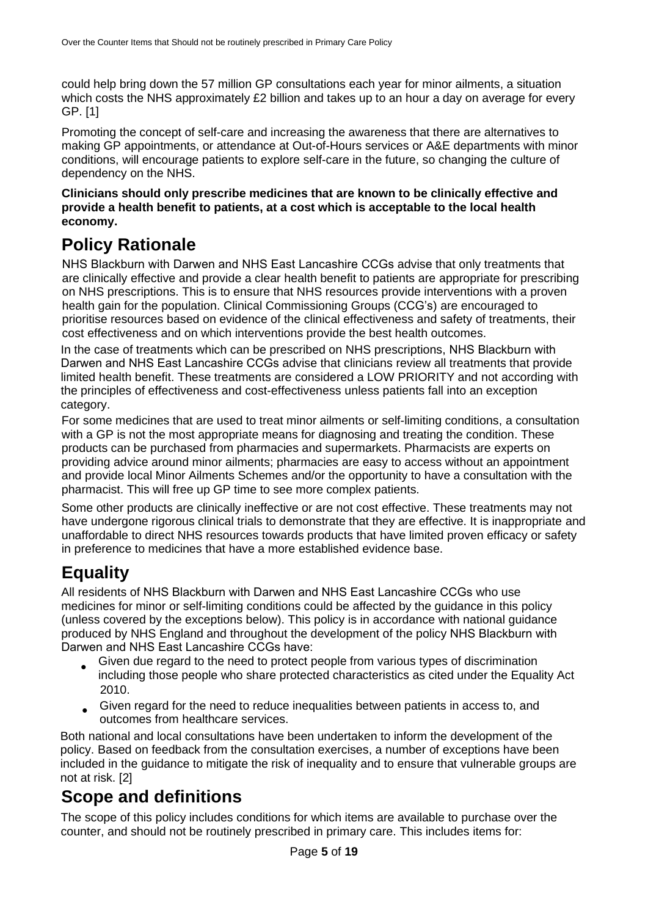could help bring down the 57 million GP consultations each year for minor ailments, a situation which costs the NHS approximately £2 billion and takes up to an hour a day on average for every GP. [1]

Promoting the concept of self-care and increasing the awareness that there are alternatives to making GP appointments, or attendance at Out-of-Hours services or A&E departments with minor conditions, will encourage patients to explore self-care in the future, so changing the culture of dependency on the NHS.

#### **Clinicians should only prescribe medicines that are known to be clinically effective and provide a health benefit to patients, at a cost which is acceptable to the local health economy.**

# **Policy Rationale**

NHS Blackburn with Darwen and NHS East Lancashire CCGs advise that only treatments that are clinically effective and provide a clear health benefit to patients are appropriate for prescribing on NHS prescriptions. This is to ensure that NHS resources provide interventions with a proven health gain for the population. Clinical Commissioning Groups (CCG's) are encouraged to prioritise resources based on evidence of the clinical effectiveness and safety of treatments, their cost effectiveness and on which interventions provide the best health outcomes.

In the case of treatments which can be prescribed on NHS prescriptions, NHS Blackburn with Darwen and NHS East Lancashire CCGs advise that clinicians review all treatments that provide limited health benefit. These treatments are considered a LOW PRIORITY and not according with the principles of effectiveness and cost-effectiveness unless patients fall into an exception category.

For some medicines that are used to treat minor ailments or self-limiting conditions, a consultation with a GP is not the most appropriate means for diagnosing and treating the condition. These products can be purchased from pharmacies and supermarkets. Pharmacists are experts on providing advice around minor ailments; pharmacies are easy to access without an appointment and provide local Minor Ailments Schemes and/or the opportunity to have a consultation with the pharmacist. This will free up GP time to see more complex patients.

Some other products are clinically ineffective or are not cost effective. These treatments may not have undergone rigorous clinical trials to demonstrate that they are effective. It is inappropriate and unaffordable to direct NHS resources towards products that have limited proven efficacy or safety in preference to medicines that have a more established evidence base.

# **Equality**

All residents of NHS Blackburn with Darwen and NHS East Lancashire CCGs who use medicines for minor or self-limiting conditions could be affected by the guidance in this policy (unless covered by the exceptions below). This policy is in accordance with national guidance produced by NHS England and throughout the development of the policy NHS Blackburn with Darwen and NHS East Lancashire CCGs have:

- Given due regard to the need to protect people from various types of discrimination including those people who share protected characteristics as cited under the Equality Act 2010.
- Given regard for the need to reduce inequalities between patients in access to, and outcomes from healthcare services.

Both national and local consultations have been undertaken to inform the development of the policy. Based on feedback from the consultation exercises, a number of exceptions have been included in the guidance to mitigate the risk of inequality and to ensure that vulnerable groups are not at risk. [2]

# **Scope and definitions**

The scope of this policy includes conditions for which items are available to purchase over the counter, and should not be routinely prescribed in primary care. This includes items for: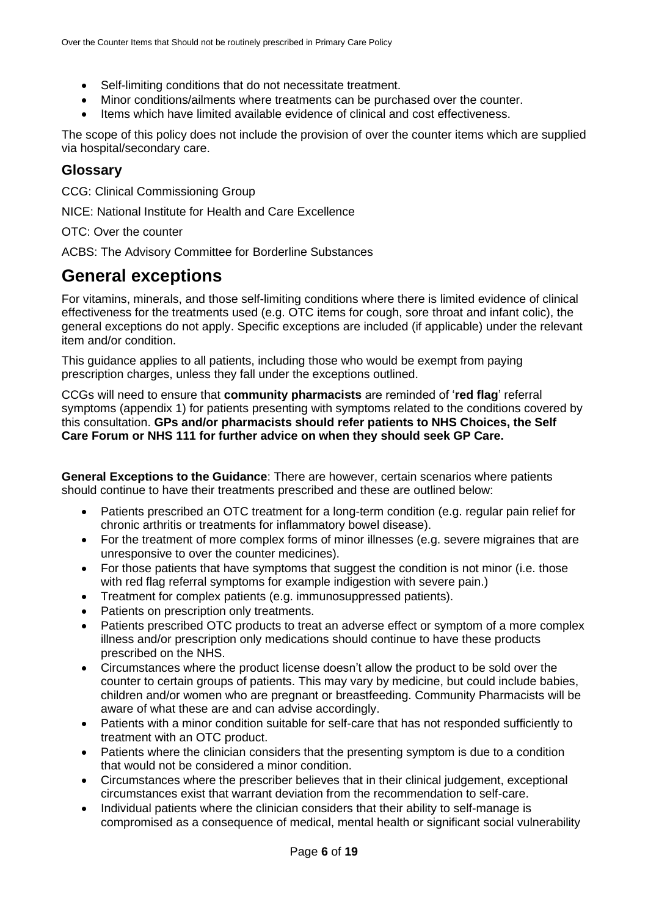- Self-limiting conditions that do not necessitate treatment.
- Minor conditions/ailments where treatments can be purchased over the counter.
- Items which have limited available evidence of clinical and cost effectiveness.

The scope of this policy does not include the provision of over the counter items which are supplied via hospital/secondary care.

#### **Glossary**

CCG: Clinical Commissioning Group

NICE: National Institute for Health and Care Excellence

#### OTC: Over the counter

ACBS: The Advisory Committee for Borderline Substances

### **General exceptions**

For vitamins, minerals, and those self-limiting conditions where there is limited evidence of clinical effectiveness for the treatments used (e.g. OTC items for cough, sore throat and infant colic), the general exceptions do not apply. Specific exceptions are included (if applicable) under the relevant item and/or condition.

This guidance applies to all patients, including those who would be exempt from paying prescription charges, unless they fall under the exceptions outlined.

CCGs will need to ensure that **community pharmacists** are reminded of '**red flag**' referral symptoms (appendix 1) for patients presenting with symptoms related to the conditions covered by this consultation. **GPs and/or pharmacists should refer patients to NHS Choices, the Self Care Forum or NHS 111 for further advice on when they should seek GP Care.**

**General Exceptions to the Guidance**: There are however, certain scenarios where patients should continue to have their treatments prescribed and these are outlined below:

- Patients prescribed an OTC treatment for a long-term condition (e.g. regular pain relief for chronic arthritis or treatments for inflammatory bowel disease).
- For the treatment of more complex forms of minor illnesses (e.g. severe migraines that are unresponsive to over the counter medicines).
- For those patients that have symptoms that suggest the condition is not minor (i.e. those with red flag referral symptoms for example indigestion with severe pain.)
- Treatment for complex patients (e.g. immunosuppressed patients).
- Patients on prescription only treatments.
- Patients prescribed OTC products to treat an adverse effect or symptom of a more complex illness and/or prescription only medications should continue to have these products prescribed on the NHS.
- Circumstances where the product license doesn't allow the product to be sold over the counter to certain groups of patients. This may vary by medicine, but could include babies, children and/or women who are pregnant or breastfeeding. Community Pharmacists will be aware of what these are and can advise accordingly.
- Patients with a minor condition suitable for self-care that has not responded sufficiently to treatment with an OTC product.
- Patients where the clinician considers that the presenting symptom is due to a condition that would not be considered a minor condition.
- Circumstances where the prescriber believes that in their clinical judgement, exceptional circumstances exist that warrant deviation from the recommendation to self-care.
- Individual patients where the clinician considers that their ability to self-manage is compromised as a consequence of medical, mental health or significant social vulnerability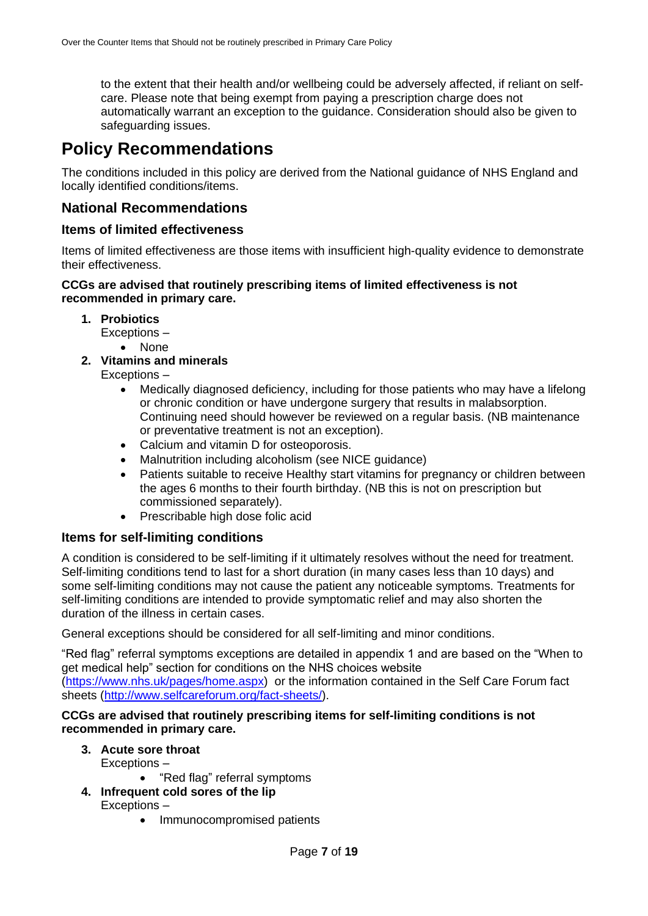to the extent that their health and/or wellbeing could be adversely affected, if reliant on selfcare. Please note that being exempt from paying a prescription charge does not automatically warrant an exception to the guidance. Consideration should also be given to safeguarding issues.

### **Policy Recommendations**

The conditions included in this policy are derived from the National guidance of NHS England and locally identified conditions/items.

#### **National Recommendations**

#### **Items of limited effectiveness**

Items of limited effectiveness are those items with insufficient high-quality evidence to demonstrate their effectiveness.

#### **CCGs are advised that routinely prescribing items of limited effectiveness is not recommended in primary care.**

**1. Probiotics**

Exceptions –

- None
- **2. Vitamins and minerals**
	- Exceptions
		- Medically diagnosed deficiency, including for those patients who may have a lifelong or chronic condition or have undergone surgery that results in malabsorption. Continuing need should however be reviewed on a regular basis. (NB maintenance or preventative treatment is not an exception).
		- Calcium and vitamin D for osteoporosis.
		- Malnutrition including alcoholism (see NICE guidance)
		- Patients suitable to receive Healthy start vitamins for pregnancy or children between the ages 6 months to their fourth birthday. (NB this is not on prescription but commissioned separately).
		- Prescribable high dose folic acid

#### **Items for self-limiting conditions**

A condition is considered to be self-limiting if it ultimately resolves without the need for treatment. Self-limiting conditions tend to last for a short duration (in many cases less than 10 days) and some self-limiting conditions may not cause the patient any noticeable symptoms. Treatments for self-limiting conditions are intended to provide symptomatic relief and may also shorten the duration of the illness in certain cases.

General exceptions should be considered for all self-limiting and minor conditions.

"Red flag" referral symptoms exceptions are detailed in appendix 1 and are based on the "When to get medical help" section for conditions on the NHS choices website (https://www.nhs.uk/pages/home.aspx) or the information contained in the Self Care Forum fact sheets (http://www.selfcareforum.org/fact-sheets/).

#### **CCGs are advised that routinely prescribing items for self-limiting conditions is not recommended in primary care.**

#### **3. Acute sore throat**

Exceptions –

• "Red flag" referral symptoms

#### **4. Infrequent cold sores of the lip**

Exceptions –

• Immunocompromised patients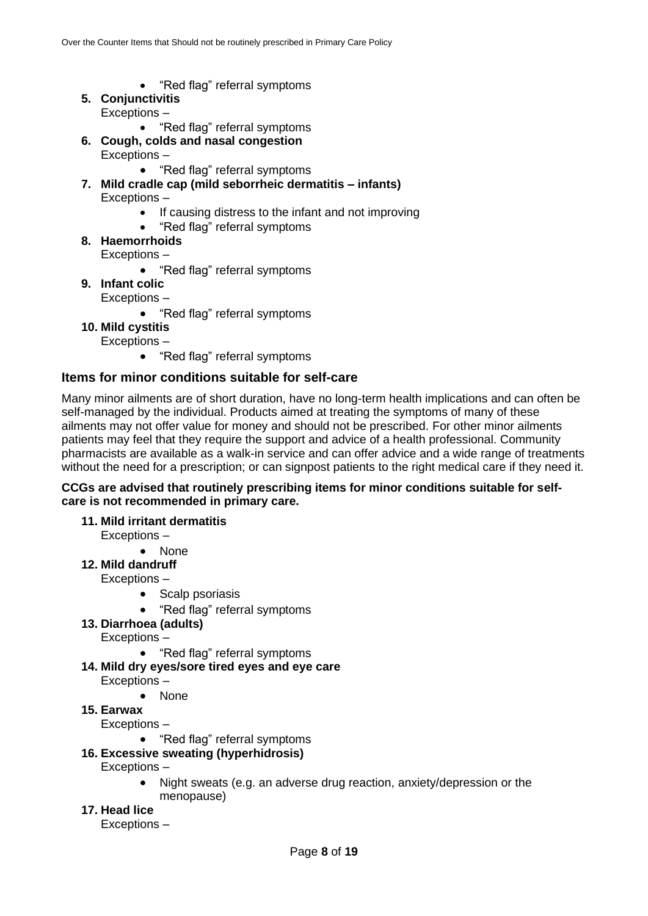- "Red flag" referral symptoms
- **5. Conjunctivitis** Exceptions –
	- "Red flag" referral symptoms

#### **6. Cough, colds and nasal congestion** Exceptions –

• "Red flag" referral symptoms

- **7. Mild cradle cap (mild seborrheic dermatitis – infants)** Exceptions –
	- If causing distress to the infant and not improving
	- "Red flag" referral symptoms
- **8. Haemorrhoids** Exceptions –
	- "Red flag" referral symptoms
- **9. Infant colic** Exceptions –
	- "Red flag" referral symptoms
- **10. Mild cystitis**

Exceptions –

• "Red flag" referral symptoms

#### **Items for minor conditions suitable for self-care**

Many minor ailments are of short duration, have no long-term health implications and can often be self-managed by the individual. Products aimed at treating the symptoms of many of these ailments may not offer value for money and should not be prescribed. For other minor ailments patients may feel that they require the support and advice of a health professional. Community pharmacists are available as a walk-in service and can offer advice and a wide range of treatments without the need for a prescription; or can signpost patients to the right medical care if they need it.

#### **CCGs are advised that routinely prescribing items for minor conditions suitable for selfcare is not recommended in primary care.**

**11. Mild irritant dermatitis**

Exceptions –

• None **12. Mild dandruff**

Exceptions –

- Scalp psoriasis
- "Red flag" referral symptoms
- **13. Diarrhoea (adults)**

Exceptions –

- "Red flag" referral symptoms
- **14. Mild dry eyes/sore tired eyes and eye care**
	- Exceptions
		- **None**
- **15. Earwax**

Exceptions –

• "Red flag" referral symptoms

#### **16. Excessive sweating (hyperhidrosis)**

Exceptions –

- Night sweats (e.g. an adverse drug reaction, anxiety/depression or the menopause)
- **17. Head lice**

Exceptions –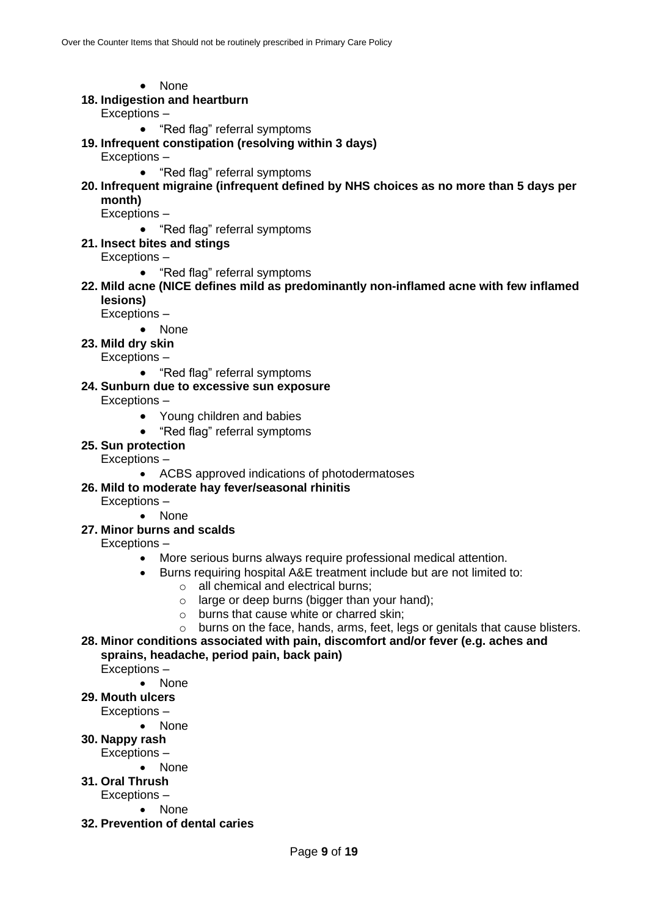- None
- **18. Indigestion and heartburn**
	- Exceptions
		- "Red flag" referral symptoms
- **19. Infrequent constipation (resolving within 3 days)**
	- Exceptions
		- "Red flag" referral symptoms
- **20. Infrequent migraine (infrequent defined by NHS choices as no more than 5 days per month)**

Exceptions –

- "Red flag" referral symptoms
- **21. Insect bites and stings**
	- Exceptions
		- "Red flag" referral symptoms
- **22. Mild acne (NICE defines mild as predominantly non-inflamed acne with few inflamed lesions)**

Exceptions –

- None
- **23. Mild dry skin**
	- Exceptions
		- "Red flag" referral symptoms
- **24. Sunburn due to excessive sun exposure**

Exceptions –

- Young children and babies
- "Red flag" referral symptoms
- **25. Sun protection**

Exceptions –

• ACBS approved indications of photodermatoses

#### **26. Mild to moderate hay fever/seasonal rhinitis**

Exceptions –

- None
- **27. Minor burns and scalds**
	- Exceptions
		- More serious burns always require professional medical attention.
		- Burns requiring hospital A&E treatment include but are not limited to:
			- o all chemical and electrical burns;
			- o large or deep burns (bigger than your hand);
			- o burns that cause white or charred skin;
			- o burns on the face, hands, arms, feet, legs or genitals that cause blisters.
- **28. Minor conditions associated with pain, discomfort and/or fever (e.g. aches and sprains, headache, period pain, back pain)**

Exceptions –

- None
- **29. Mouth ulcers**
	- Exceptions
		- None
- **30. Nappy rash**
	- Exceptions
		- None
- **31. Oral Thrush**
	- Exceptions
		- None
- **32. Prevention of dental caries**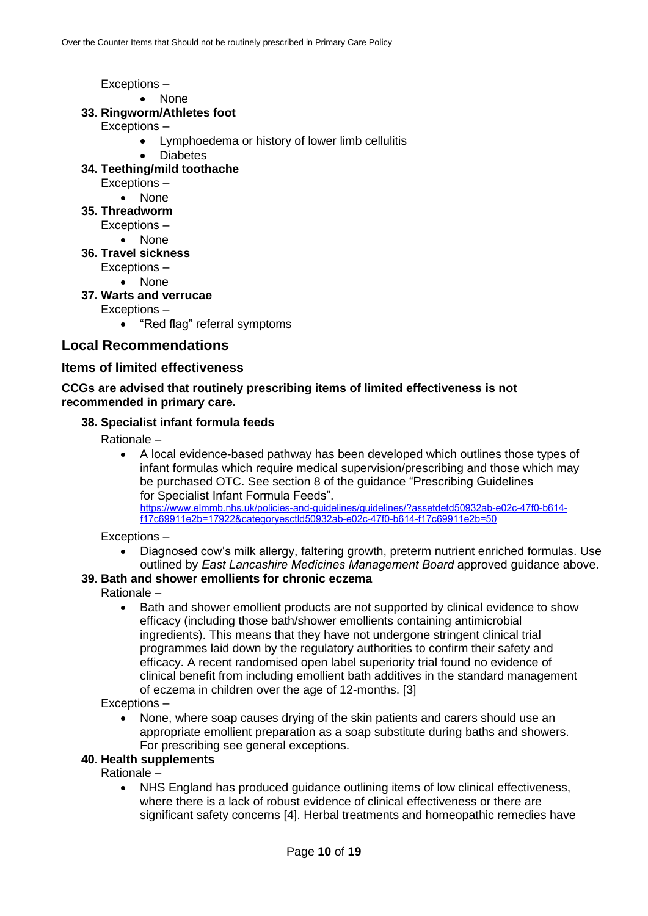Exceptions –

• None

#### **33. Ringworm/Athletes foot**

- Exceptions
	- Lymphoedema or history of lower limb cellulitis
	- **Diabetes**

#### **34. Teething/mild toothache**

- Exceptions
	- None
- **35. Threadworm**
	- Exceptions
		- None
- **36. Travel sickness**
	- Exceptions
		- None
- **37. Warts and verrucae**

Exceptions –

• "Red flag" referral symptoms

#### **Local Recommendations**

#### **Items of limited effectiveness**

#### **CCGs are advised that routinely prescribing items of limited effectiveness is not recommended in primary care.**

#### **38. Specialist infant formula feeds**

Rationale –

• A local evidence-based pathway has been developed which outlines those types of infant formulas which require medical supervision/prescribing and those which may be purchased OTC. See section 8 of the guidance "Prescribing Guidelines for Specialist Infant Formula Feeds". https://www.elmmb.nhs.uk/policies-and-guidelines/guidelines/?assetdetd50932ab-e02c-47f0-b614 f17c69911e2b=17922&categoryesctld50932ab-e02c-47f0-b614-f17c69911e2b=50

Exceptions –

• Diagnosed cow's milk allergy, faltering growth, preterm nutrient enriched formulas. Use outlined by *East Lancashire Medicines Management Board* approved guidance above.

#### **39. Bath and shower emollients for chronic eczema**

Rationale –

• Bath and shower emollient products are not supported by clinical evidence to show efficacy (including those bath/shower emollients containing antimicrobial ingredients). This means that they have not undergone stringent clinical trial programmes laid down by the regulatory authorities to confirm their safety and efficacy. A recent randomised open label superiority trial found no evidence of clinical benefit from including emollient bath additives in the standard management of eczema in children over the age of 12-months. [3]

Exceptions –

• None, where soap causes drying of the skin patients and carers should use an appropriate emollient preparation as a soap substitute during baths and showers. For prescribing see general exceptions.

#### **40. Health supplements**

Rationale –

• NHS England has produced guidance outlining items of low clinical effectiveness, where there is a lack of robust evidence of clinical effectiveness or there are significant safety concerns [4]. Herbal treatments and homeopathic remedies have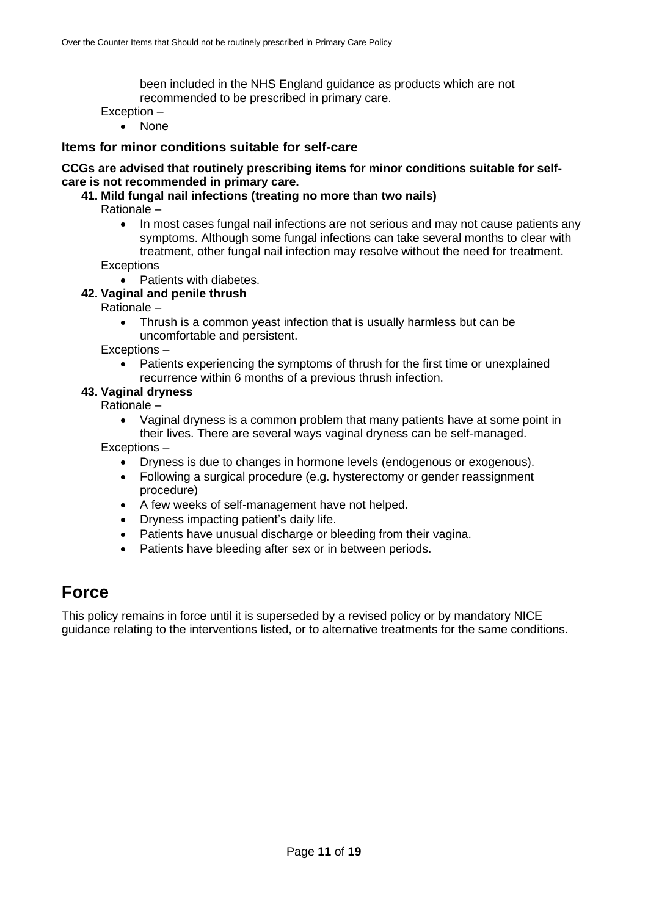been included in the NHS England guidance as products which are not recommended to be prescribed in primary care.

Exception –

• None

#### **Items for minor conditions suitable for self-care**

#### **CCGs are advised that routinely prescribing items for minor conditions suitable for selfcare is not recommended in primary care.**

#### **41. Mild fungal nail infections (treating no more than two nails)**

Rationale –

- In most cases fungal nail infections are not serious and may not cause patients any symptoms. Although some fungal infections can take several months to clear with treatment, other fungal nail infection may resolve without the need for treatment. **Exceptions** 
	- Patients with diabetes.

#### **42. Vaginal and penile thrush**

Rationale –

• Thrush is a common yeast infection that is usually harmless but can be uncomfortable and persistent.

Exceptions –

• Patients experiencing the symptoms of thrush for the first time or unexplained recurrence within 6 months of a previous thrush infection.

#### **43. Vaginal dryness**

Rationale –

- Vaginal dryness is a common problem that many patients have at some point in their lives. There are several ways vaginal dryness can be self-managed. Exceptions –
	- Dryness is due to changes in hormone levels (endogenous or exogenous).
	- Following a surgical procedure (e.g. hysterectomy or gender reassignment procedure)
	- A few weeks of self-management have not helped.
	- Dryness impacting patient's daily life.
	- Patients have unusual discharge or bleeding from their vagina.
	- Patients have bleeding after sex or in between periods.

### **Force**

This policy remains in force until it is superseded by a revised policy or by mandatory NICE guidance relating to the interventions listed, or to alternative treatments for the same conditions.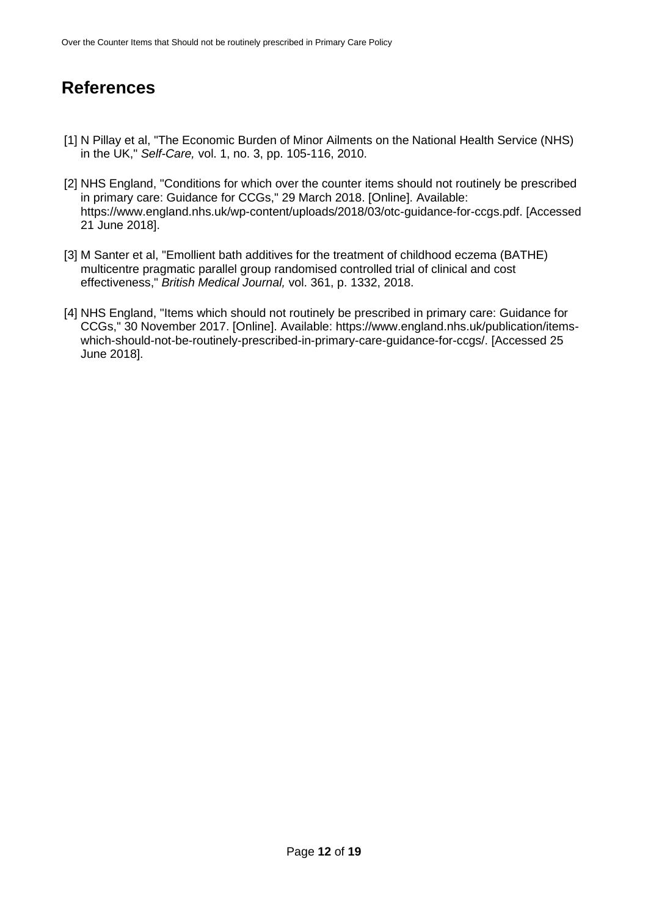# **References**

- [1] N Pillay et al, "The Economic Burden of Minor Ailments on the National Health Service (NHS) in the UK," *Self-Care,* vol. 1, no. 3, pp. 105-116, 2010.
- [2] NHS England, "Conditions for which over the counter items should not routinely be prescribed in primary care: Guidance for CCGs," 29 March 2018. [Online]. Available: https://www.england.nhs.uk/wp-content/uploads/2018/03/otc-guidance-for-ccgs.pdf. [Accessed 21 June 2018].
- [3] M Santer et al, "Emollient bath additives for the treatment of childhood eczema (BATHE) multicentre pragmatic parallel group randomised controlled trial of clinical and cost effectiveness," *British Medical Journal,* vol. 361, p. 1332, 2018.
- [4] NHS England, "Items which should not routinely be prescribed in primary care: Guidance for CCGs," 30 November 2017. [Online]. Available: https://www.england.nhs.uk/publication/itemswhich-should-not-be-routinely-prescribed-in-primary-care-guidance-for-ccgs/. [Accessed 25 June 2018].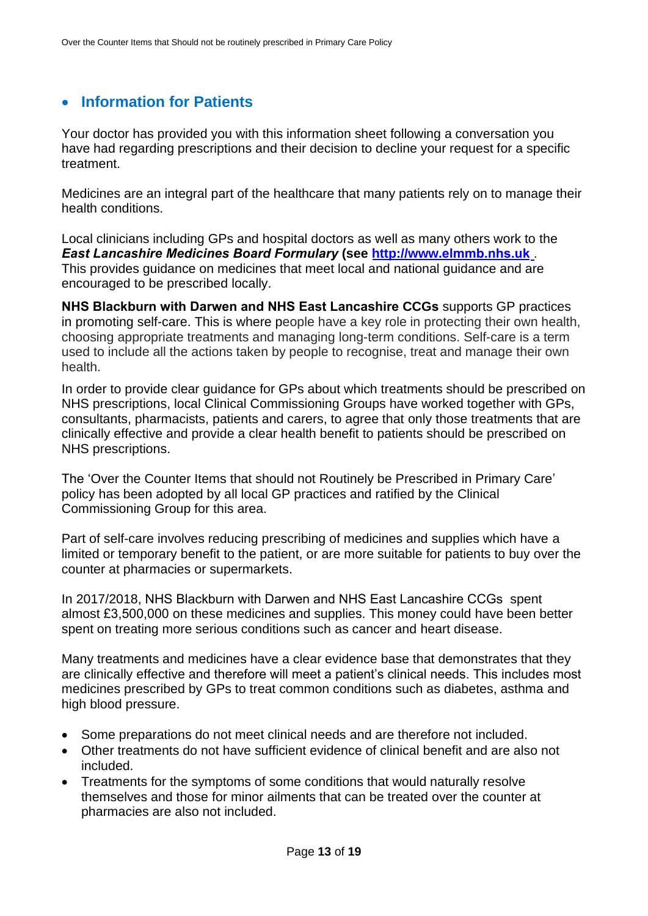### • **Information for Patients**

Your doctor has provided you with this information sheet following a conversation you have had regarding prescriptions and their decision to decline your request for a specific treatment.

Medicines are an integral part of the healthcare that many patients rely on to manage their health conditions.

Local clinicians including GPs and hospital doctors as well as many others work to the *East Lancashire Medicines Board Formulary* **(see http://www.elmmb.nhs.uk** . This provides guidance on medicines that meet local and national guidance and are encouraged to be prescribed locally.

**NHS Blackburn with Darwen and NHS East Lancashire CCGs** supports GP practices in promoting self-care. This is where people have a key role in protecting their own health, choosing appropriate treatments and managing long-term conditions. Self-care is a term used to include all the actions taken by people to recognise, treat and manage their own health.

In order to provide clear guidance for GPs about which treatments should be prescribed on NHS prescriptions, local Clinical Commissioning Groups have worked together with GPs, consultants, pharmacists, patients and carers, to agree that only those treatments that are clinically effective and provide a clear health benefit to patients should be prescribed on NHS prescriptions.

The 'Over the Counter Items that should not Routinely be Prescribed in Primary Care' policy has been adopted by all local GP practices and ratified by the Clinical Commissioning Group for this area.

Part of self-care involves reducing prescribing of medicines and supplies which have a limited or temporary benefit to the patient, or are more suitable for patients to buy over the counter at pharmacies or supermarkets.

In 2017/2018, NHS Blackburn with Darwen and NHS East Lancashire CCGs spent almost £3,500,000 on these medicines and supplies. This money could have been better spent on treating more serious conditions such as cancer and heart disease.

Many treatments and medicines have a clear evidence base that demonstrates that they are clinically effective and therefore will meet a patient's clinical needs. This includes most medicines prescribed by GPs to treat common conditions such as diabetes, asthma and high blood pressure.

- Some preparations do not meet clinical needs and are therefore not included.
- Other treatments do not have sufficient evidence of clinical benefit and are also not included.
- Treatments for the symptoms of some conditions that would naturally resolve themselves and those for minor ailments that can be treated over the counter at pharmacies are also not included.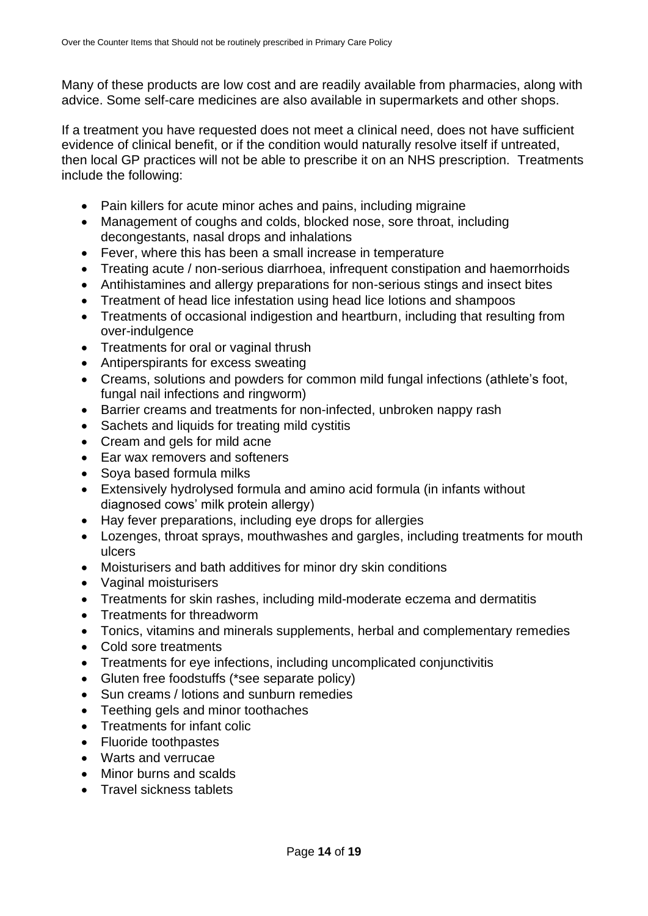Many of these products are low cost and are readily available from pharmacies, along with advice. Some self-care medicines are also available in supermarkets and other shops.

If a treatment you have requested does not meet a clinical need, does not have sufficient evidence of clinical benefit, or if the condition would naturally resolve itself if untreated, then local GP practices will not be able to prescribe it on an NHS prescription. Treatments include the following:

- Pain killers for acute minor aches and pains, including migraine
- Management of coughs and colds, blocked nose, sore throat, including decongestants, nasal drops and inhalations
- Fever, where this has been a small increase in temperature
- Treating acute / non-serious diarrhoea, infrequent constipation and haemorrhoids
- Antihistamines and allergy preparations for non-serious stings and insect bites
- Treatment of head lice infestation using head lice lotions and shampoos
- Treatments of occasional indigestion and heartburn, including that resulting from over-indulgence
- Treatments for oral or vaginal thrush
- Antiperspirants for excess sweating
- Creams, solutions and powders for common mild fungal infections (athlete's foot, fungal nail infections and ringworm)
- Barrier creams and treatments for non-infected, unbroken nappy rash
- Sachets and liquids for treating mild cystitis
- Cream and gels for mild acne
- Ear wax removers and softeners
- Soya based formula milks
- Extensively hydrolysed formula and amino acid formula (in infants without diagnosed cows' milk protein allergy)
- Hay fever preparations, including eye drops for allergies
- Lozenges, throat sprays, mouthwashes and gargles, including treatments for mouth ulcers
- Moisturisers and bath additives for minor dry skin conditions
- Vaginal moisturisers
- Treatments for skin rashes, including mild-moderate eczema and dermatitis
- Treatments for threadworm
- Tonics, vitamins and minerals supplements, herbal and complementary remedies
- Cold sore treatments
- Treatments for eye infections, including uncomplicated conjunctivitis
- Gluten free foodstuffs (\*see separate policy)
- Sun creams / lotions and sunburn remedies
- Teething gels and minor toothaches
- Treatments for infant colic
- Fluoride toothpastes
- Warts and verrucae
- Minor burns and scalds
- Travel sickness tablets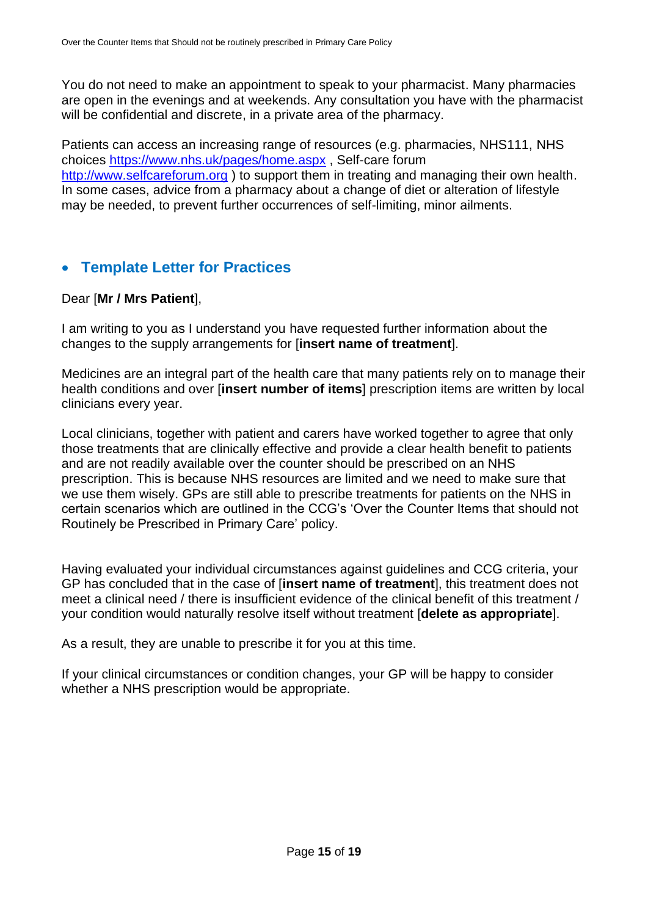You do not need to make an appointment to speak to your pharmacist. Many pharmacies are open in the evenings and at weekends. Any consultation you have with the pharmacist will be confidential and discrete, in a private area of the pharmacy.

Patients can access an increasing range of resources (e.g. pharmacies, NHS111, NHS choices https://www.nhs.uk/pages/home.aspx , Self-care forum http://www.selfcareforum.org ) to support them in treating and managing their own health. In some cases, advice from a pharmacy about a change of diet or alteration of lifestyle may be needed, to prevent further occurrences of self-limiting, minor ailments.

### • **Template Letter for Practices**

#### Dear [**Mr / Mrs Patient**],

I am writing to you as I understand you have requested further information about the changes to the supply arrangements for [**insert name of treatment**].

Medicines are an integral part of the health care that many patients rely on to manage their health conditions and over [**insert number of items**] prescription items are written by local clinicians every year.

Local clinicians, together with patient and carers have worked together to agree that only those treatments that are clinically effective and provide a clear health benefit to patients and are not readily available over the counter should be prescribed on an NHS prescription. This is because NHS resources are limited and we need to make sure that we use them wisely. GPs are still able to prescribe treatments for patients on the NHS in certain scenarios which are outlined in the CCG's 'Over the Counter Items that should not Routinely be Prescribed in Primary Care' policy.

Having evaluated your individual circumstances against guidelines and CCG criteria, your GP has concluded that in the case of [**insert name of treatment**], this treatment does not meet a clinical need / there is insufficient evidence of the clinical benefit of this treatment / your condition would naturally resolve itself without treatment [**delete as appropriate**].

As a result, they are unable to prescribe it for you at this time.

If your clinical circumstances or condition changes, your GP will be happy to consider whether a NHS prescription would be appropriate.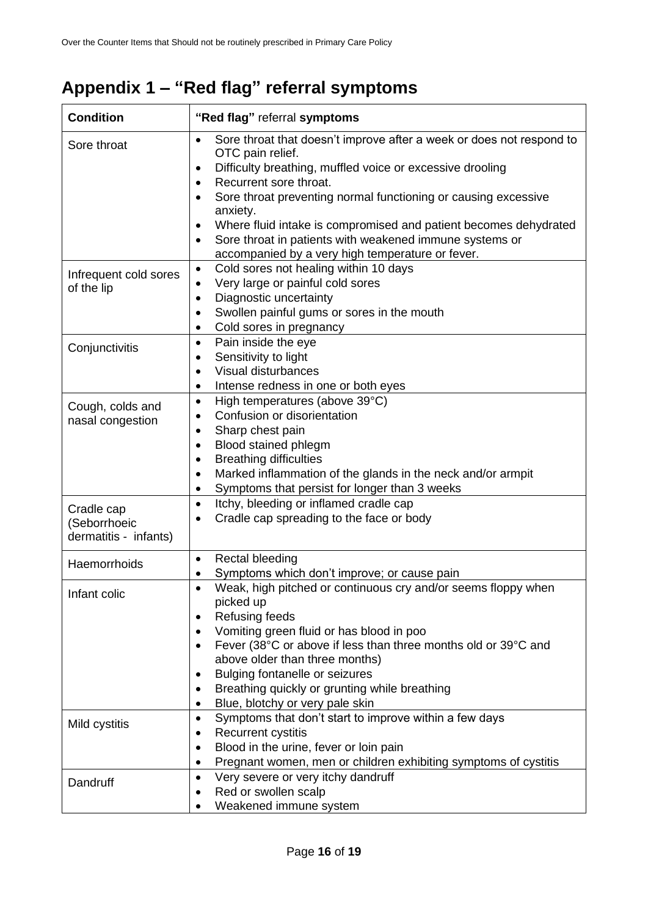# **Appendix 1 – "Red flag" referral symptoms**

| <b>Condition</b>                                    | "Red flag" referral symptoms                                                                                                                                                                                                                                                                                                                                                                                                                                                                                                   |  |
|-----------------------------------------------------|--------------------------------------------------------------------------------------------------------------------------------------------------------------------------------------------------------------------------------------------------------------------------------------------------------------------------------------------------------------------------------------------------------------------------------------------------------------------------------------------------------------------------------|--|
| Sore throat                                         | Sore throat that doesn't improve after a week or does not respond to<br>$\bullet$<br>OTC pain relief.<br>Difficulty breathing, muffled voice or excessive drooling<br>$\bullet$<br>Recurrent sore throat.<br>$\bullet$<br>Sore throat preventing normal functioning or causing excessive<br>$\bullet$<br>anxiety.<br>Where fluid intake is compromised and patient becomes dehydrated<br>$\bullet$<br>Sore throat in patients with weakened immune systems or<br>$\bullet$<br>accompanied by a very high temperature or fever. |  |
| Infrequent cold sores<br>of the lip                 | Cold sores not healing within 10 days<br>$\bullet$<br>Very large or painful cold sores<br>$\bullet$<br>Diagnostic uncertainty<br>$\bullet$<br>Swollen painful gums or sores in the mouth<br>$\bullet$<br>Cold sores in pregnancy<br>$\bullet$                                                                                                                                                                                                                                                                                  |  |
| Conjunctivitis                                      | Pain inside the eye<br>$\bullet$<br>Sensitivity to light<br>$\bullet$<br>Visual disturbances<br>$\bullet$<br>Intense redness in one or both eyes<br>$\bullet$                                                                                                                                                                                                                                                                                                                                                                  |  |
| Cough, colds and<br>nasal congestion                | High temperatures (above 39°C)<br>$\bullet$<br>Confusion or disorientation<br>$\bullet$<br>Sharp chest pain<br>٠<br>Blood stained phlegm<br>$\bullet$<br><b>Breathing difficulties</b><br>٠<br>Marked inflammation of the glands in the neck and/or armpit<br>$\bullet$<br>Symptoms that persist for longer than 3 weeks<br>٠                                                                                                                                                                                                  |  |
| Cradle cap<br>(Seborrhoeic<br>dermatitis - infants) | Itchy, bleeding or inflamed cradle cap<br>$\bullet$<br>Cradle cap spreading to the face or body<br>$\bullet$                                                                                                                                                                                                                                                                                                                                                                                                                   |  |
| Haemorrhoids                                        | Rectal bleeding<br>$\bullet$<br>Symptoms which don't improve; or cause pain<br>٠                                                                                                                                                                                                                                                                                                                                                                                                                                               |  |
| Infant colic                                        | Weak, high pitched or continuous cry and/or seems floppy when<br>$\bullet$<br>picked up<br>Refusing feeds<br>$\bullet$<br>Vomiting green fluid or has blood in poo<br>$\bullet$<br>Fever (38°C or above if less than three months old or 39°C and<br>$\bullet$<br>above older than three months)<br>Bulging fontanelle or seizures<br>$\bullet$<br>Breathing quickly or grunting while breathing<br>٠<br>Blue, blotchy or very pale skin<br>$\bullet$                                                                          |  |
| Mild cystitis                                       | Symptoms that don't start to improve within a few days<br>$\bullet$<br><b>Recurrent cystitis</b><br>$\bullet$<br>Blood in the urine, fever or loin pain<br>$\bullet$<br>Pregnant women, men or children exhibiting symptoms of cystitis<br>$\bullet$                                                                                                                                                                                                                                                                           |  |
| Dandruff                                            | Very severe or very itchy dandruff<br>$\bullet$<br>Red or swollen scalp<br>Weakened immune system                                                                                                                                                                                                                                                                                                                                                                                                                              |  |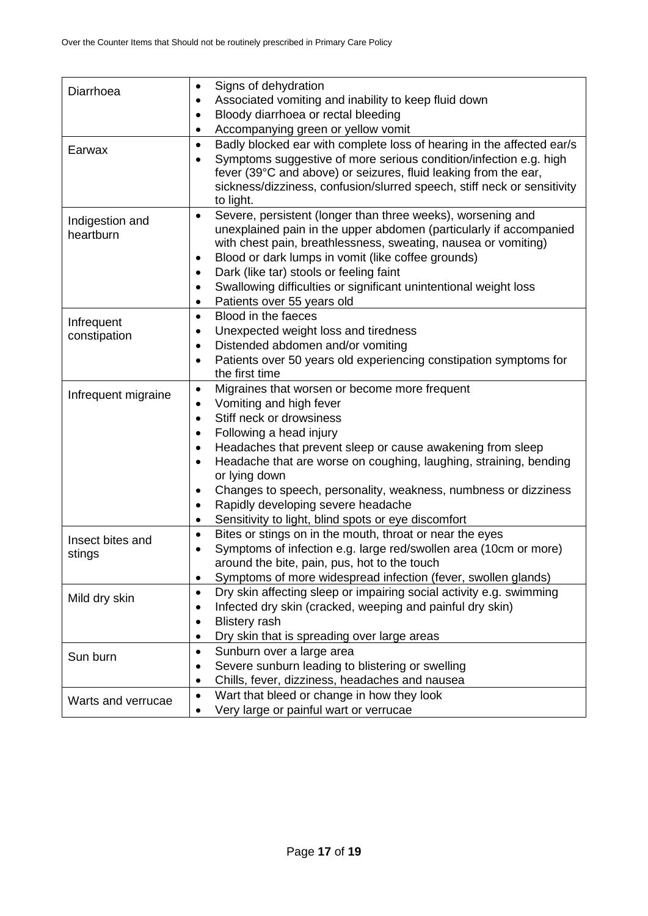| Diarrhoea           | Signs of dehydration<br>٠                                                                          |
|---------------------|----------------------------------------------------------------------------------------------------|
|                     | Associated vomiting and inability to keep fluid down<br>$\bullet$                                  |
|                     | Bloody diarrhoea or rectal bleeding<br>$\bullet$                                                   |
|                     | Accompanying green or yellow vomit<br>$\bullet$                                                    |
| Earwax              | Badly blocked ear with complete loss of hearing in the affected ear/s<br>$\bullet$                 |
|                     | Symptoms suggestive of more serious condition/infection e.g. high<br>$\bullet$                     |
|                     | fever (39°C and above) or seizures, fluid leaking from the ear,                                    |
|                     | sickness/dizziness, confusion/slurred speech, stiff neck or sensitivity                            |
|                     | to light.                                                                                          |
| Indigestion and     | Severe, persistent (longer than three weeks), worsening and<br>$\bullet$                           |
| heartburn           | unexplained pain in the upper abdomen (particularly if accompanied                                 |
|                     | with chest pain, breathlessness, sweating, nausea or vomiting)                                     |
|                     | Blood or dark lumps in vomit (like coffee grounds)<br>٠<br>Dark (like tar) stools or feeling faint |
|                     | $\bullet$<br>Swallowing difficulties or significant unintentional weight loss                      |
|                     | $\bullet$<br>Patients over 55 years old<br>$\bullet$                                               |
|                     | Blood in the faeces<br>$\bullet$                                                                   |
| Infrequent          | Unexpected weight loss and tiredness<br>$\bullet$                                                  |
| constipation        | Distended abdomen and/or vomiting<br>$\bullet$                                                     |
|                     | Patients over 50 years old experiencing constipation symptoms for<br>$\bullet$                     |
|                     | the first time                                                                                     |
|                     | Migraines that worsen or become more frequent<br>$\bullet$                                         |
| Infrequent migraine | Vomiting and high fever<br>$\bullet$                                                               |
|                     | Stiff neck or drowsiness<br>$\bullet$                                                              |
|                     | Following a head injury<br>٠                                                                       |
|                     | Headaches that prevent sleep or cause awakening from sleep<br>٠                                    |
|                     | Headache that are worse on coughing, laughing, straining, bending<br>$\bullet$                     |
|                     | or lying down                                                                                      |
|                     | Changes to speech, personality, weakness, numbness or dizziness<br>٠                               |
|                     | Rapidly developing severe headache<br>$\bullet$                                                    |
|                     | Sensitivity to light, blind spots or eye discomfort<br>$\bullet$                                   |
| Insect bites and    | Bites or stings on in the mouth, throat or near the eyes<br>$\bullet$                              |
| stings              | Symptoms of infection e.g. large red/swollen area (10cm or more)<br>$\bullet$                      |
|                     | around the bite, pain, pus, hot to the touch                                                       |
|                     | Symptoms of more widespread infection (fever, swollen glands)<br>٠                                 |
| Mild dry skin       | Dry skin affecting sleep or impairing social activity e.g. swimming<br>٠                           |
|                     | Infected dry skin (cracked, weeping and painful dry skin)<br>$\bullet$                             |
|                     | <b>Blistery rash</b><br>$\bullet$                                                                  |
|                     | Dry skin that is spreading over large areas<br>٠                                                   |
| Sun burn            | Sunburn over a large area<br>$\bullet$                                                             |
|                     | Severe sunburn leading to blistering or swelling<br>$\bullet$                                      |
|                     | Chills, fever, dizziness, headaches and nausea<br>$\bullet$                                        |
| Warts and verrucae  | Wart that bleed or change in how they look<br>$\bullet$                                            |
|                     | Very large or painful wart or verrucae<br>$\bullet$                                                |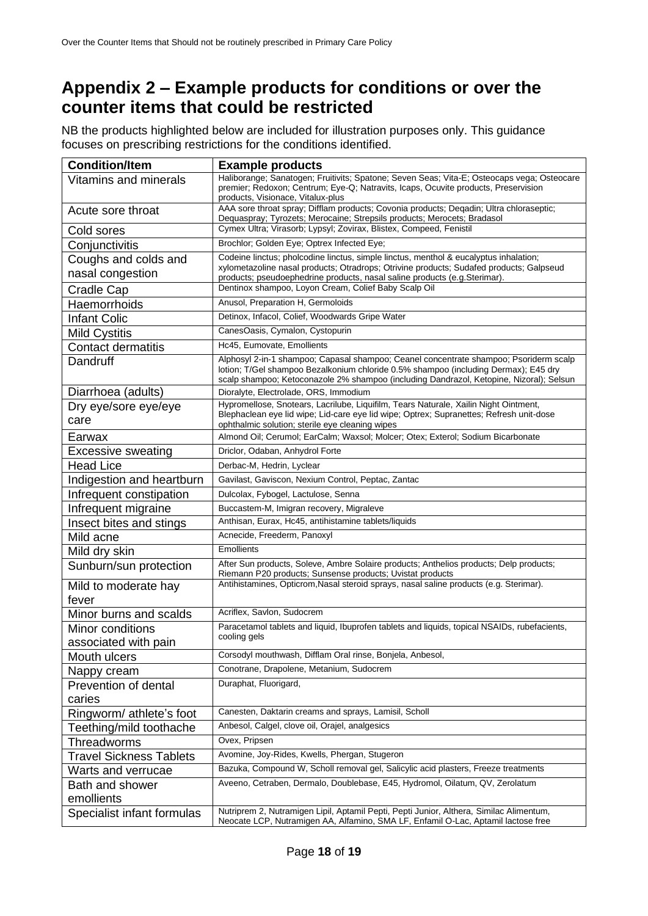## **Appendix 2 – Example products for conditions or over the counter items that could be restricted**

NB the products highlighted below are included for illustration purposes only. This guidance focuses on prescribing restrictions for the conditions identified.

| <b>Condition/Item</b>          | <b>Example products</b>                                                                                                                                                                                                                                                 |
|--------------------------------|-------------------------------------------------------------------------------------------------------------------------------------------------------------------------------------------------------------------------------------------------------------------------|
| <b>Vitamins and minerals</b>   | Haliborange; Sanatogen; Fruitivits; Spatone; Seven Seas; Vita-E; Osteocaps vega; Osteocare<br>premier; Redoxon; Centrum; Eye-Q; Natravits, Icaps, Ocuvite products, Preservision                                                                                        |
| Acute sore throat              | products, Visionace, Vitalux-plus<br>AAA sore throat spray; Difflam products; Covonia products; Deqadin; Ultra chloraseptic;                                                                                                                                            |
| Cold sores                     | Dequaspray; Tyrozets; Merocaine; Strepsils products; Merocets; Bradasol<br>Cymex Ultra; Virasorb; Lypsyl; Zovirax, Blistex, Compeed, Fenistil                                                                                                                           |
|                                | Brochlor; Golden Eye; Optrex Infected Eye;                                                                                                                                                                                                                              |
| Conjunctivitis                 | Codeine linctus; pholcodine linctus, simple linctus, menthol & eucalyptus inhalation;                                                                                                                                                                                   |
| Coughs and colds and           | xylometazoline nasal products; Otradrops; Otrivine products; Sudafed products; Galpseud                                                                                                                                                                                 |
| nasal congestion               | products; pseudoephedrine products, nasal saline products (e.g.Sterimar).                                                                                                                                                                                               |
| Cradle Cap                     | Dentinox shampoo, Loyon Cream, Colief Baby Scalp Oil                                                                                                                                                                                                                    |
| Haemorrhoids                   | Anusol, Preparation H, Germoloids                                                                                                                                                                                                                                       |
| <b>Infant Colic</b>            | Detinox, Infacol, Colief, Woodwards Gripe Water                                                                                                                                                                                                                         |
| <b>Mild Cystitis</b>           | CanesOasis, Cymalon, Cystopurin                                                                                                                                                                                                                                         |
| <b>Contact dermatitis</b>      | Hc45, Eumovate, Emollients                                                                                                                                                                                                                                              |
| Dandruff                       | Alphosyl 2-in-1 shampoo; Capasal shampoo; Ceanel concentrate shampoo; Psoriderm scalp<br>lotion; T/Gel shampoo Bezalkonium chloride 0.5% shampoo (including Dermax); E45 dry<br>scalp shampoo; Ketoconazole 2% shampoo (including Dandrazol, Ketopine, Nizoral); Selsun |
| Diarrhoea (adults)             | Dioralyte, Electrolade, ORS, Immodium                                                                                                                                                                                                                                   |
| Dry eye/sore eye/eye           | Hypromellose, Snotears, Lacrilube, Liquifilm, Tears Naturale, Xailin Night Ointment,<br>Blephaclean eye lid wipe; Lid-care eye lid wipe; Optrex; Supranettes; Refresh unit-dose                                                                                         |
| care                           | ophthalmic solution; sterile eye cleaning wipes                                                                                                                                                                                                                         |
| Earwax                         | Almond Oil; Cerumol; EarCalm; Waxsol; Molcer; Otex; Exterol; Sodium Bicarbonate                                                                                                                                                                                         |
| <b>Excessive sweating</b>      | Driclor, Odaban, Anhydrol Forte                                                                                                                                                                                                                                         |
| <b>Head Lice</b>               | Derbac-M, Hedrin, Lyclear                                                                                                                                                                                                                                               |
| Indigestion and heartburn      | Gavilast, Gaviscon, Nexium Control, Peptac, Zantac                                                                                                                                                                                                                      |
| Infrequent constipation        | Dulcolax, Fybogel, Lactulose, Senna                                                                                                                                                                                                                                     |
| Infrequent migraine            | Buccastem-M, Imigran recovery, Migraleve                                                                                                                                                                                                                                |
| Insect bites and stings        | Anthisan, Eurax, Hc45, antihistamine tablets/liquids                                                                                                                                                                                                                    |
| Mild acne                      | Acnecide, Freederm, Panoxyl                                                                                                                                                                                                                                             |
| Mild dry skin                  | Emollients                                                                                                                                                                                                                                                              |
| Sunburn/sun protection         | After Sun products, Soleve, Ambre Solaire products; Anthelios products; Delp products;                                                                                                                                                                                  |
|                                | Riemann P20 products; Sunsense products; Uvistat products<br>Antihistamines, Opticrom, Nasal steroid sprays, nasal saline products (e.g. Sterimar).                                                                                                                     |
| Mild to moderate hay<br>fever  |                                                                                                                                                                                                                                                                         |
| Minor burns and scalds         | Acriflex, Savlon, Sudocrem                                                                                                                                                                                                                                              |
| Minor conditions               | Paracetamol tablets and liquid, Ibuprofen tablets and liquids, topical NSAIDs, rubefacients,                                                                                                                                                                            |
| associated with pain           | cooling gels                                                                                                                                                                                                                                                            |
| Mouth ulcers                   | Corsodyl mouthwash, Difflam Oral rinse, Bonjela, Anbesol,                                                                                                                                                                                                               |
| Nappy cream                    | Conotrane, Drapolene, Metanium, Sudocrem                                                                                                                                                                                                                                |
| Prevention of dental           | Duraphat, Fluorigard,                                                                                                                                                                                                                                                   |
| caries                         |                                                                                                                                                                                                                                                                         |
| Ringworm/ athlete's foot       | Canesten, Daktarin creams and sprays, Lamisil, Scholl                                                                                                                                                                                                                   |
| Teething/mild toothache        | Anbesol, Calgel, clove oil, Orajel, analgesics                                                                                                                                                                                                                          |
| Threadworms                    | Ovex, Pripsen                                                                                                                                                                                                                                                           |
| <b>Travel Sickness Tablets</b> | Avomine, Joy-Rides, Kwells, Phergan, Stugeron                                                                                                                                                                                                                           |
| Warts and verrucae             | Bazuka, Compound W, Scholl removal gel, Salicylic acid plasters, Freeze treatments                                                                                                                                                                                      |
| Bath and shower                | Aveeno, Cetraben, Dermalo, Doublebase, E45, Hydromol, Oilatum, QV, Zerolatum                                                                                                                                                                                            |
| emollients                     |                                                                                                                                                                                                                                                                         |
| Specialist infant formulas     | Nutriprem 2, Nutramigen Lipil, Aptamil Pepti, Pepti Junior, Althera, Similac Alimentum,                                                                                                                                                                                 |
|                                | Neocate LCP, Nutramigen AA, Alfamino, SMA LF, Enfamil O-Lac, Aptamil lactose free                                                                                                                                                                                       |